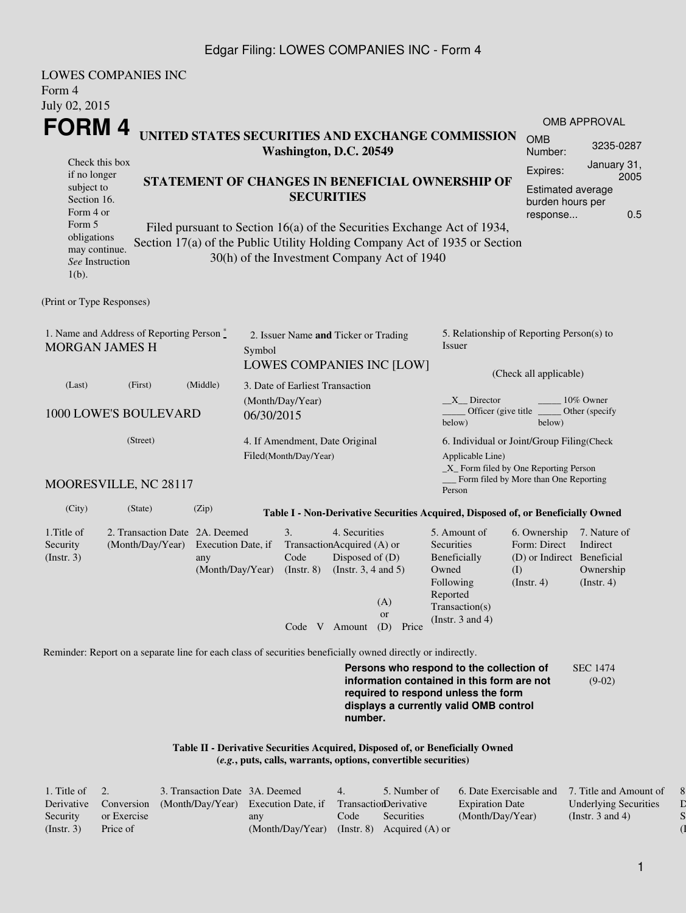#### Edgar Filing: LOWES COMPANIES INC - Form 4

| Form 4                                                                                      | <b>LOWES COMPANIES INC</b>                                                                                  |                                               |                                                                                              |                                                                                                                                                    |                                                                                                             |                                                                 |                                                                                                                                                                         |                                                                                       |                                                           |  |
|---------------------------------------------------------------------------------------------|-------------------------------------------------------------------------------------------------------------|-----------------------------------------------|----------------------------------------------------------------------------------------------|----------------------------------------------------------------------------------------------------------------------------------------------------|-------------------------------------------------------------------------------------------------------------|-----------------------------------------------------------------|-------------------------------------------------------------------------------------------------------------------------------------------------------------------------|---------------------------------------------------------------------------------------|-----------------------------------------------------------|--|
| July 02, 2015                                                                               |                                                                                                             |                                               |                                                                                              |                                                                                                                                                    |                                                                                                             |                                                                 |                                                                                                                                                                         |                                                                                       |                                                           |  |
| FORM 4                                                                                      |                                                                                                             |                                               |                                                                                              |                                                                                                                                                    |                                                                                                             |                                                                 |                                                                                                                                                                         |                                                                                       | <b>OMB APPROVAL</b>                                       |  |
| UNITED STATES SECURITIES AND EXCHANGE COMMISSION<br>Washington, D.C. 20549                  |                                                                                                             |                                               |                                                                                              |                                                                                                                                                    |                                                                                                             |                                                                 |                                                                                                                                                                         | <b>OMB</b><br>Number:                                                                 | 3235-0287                                                 |  |
| Check this box<br>if no longer<br>subject to<br>Section 16.<br>Form 4 or<br>Form 5          | STATEMENT OF CHANGES IN BENEFICIAL OWNERSHIP OF                                                             |                                               | <b>SECURITIES</b><br>Filed pursuant to Section 16(a) of the Securities Exchange Act of 1934, | Expires:<br><b>Estimated average</b><br>burden hours per<br>response                                                                               | January 31,<br>2005<br>0.5                                                                                  |                                                                 |                                                                                                                                                                         |                                                                                       |                                                           |  |
| obligations<br>may continue.<br>See Instruction<br>$1(b)$ .                                 |                                                                                                             |                                               |                                                                                              |                                                                                                                                                    |                                                                                                             | 30(h) of the Investment Company Act of 1940                     | Section 17(a) of the Public Utility Holding Company Act of 1935 or Section                                                                                              |                                                                                       |                                                           |  |
| (Print or Type Responses)                                                                   |                                                                                                             |                                               |                                                                                              |                                                                                                                                                    |                                                                                                             |                                                                 |                                                                                                                                                                         |                                                                                       |                                                           |  |
| 1. Name and Address of Reporting Person $\stackrel{*}{\mathbb{L}}$<br><b>MORGAN JAMES H</b> |                                                                                                             |                                               | 2. Issuer Name and Ticker or Trading<br>Symbol<br><b>LOWES COMPANIES INC [LOW]</b>           |                                                                                                                                                    |                                                                                                             | 5. Relationship of Reporting Person(s) to<br>Issuer             |                                                                                                                                                                         |                                                                                       |                                                           |  |
| (Last)                                                                                      | (First)                                                                                                     | (Middle)                                      | 3. Date of Earliest Transaction                                                              |                                                                                                                                                    |                                                                                                             |                                                                 |                                                                                                                                                                         | (Check all applicable)                                                                |                                                           |  |
| 1000 LOWE'S BOULEVARD                                                                       |                                                                                                             |                                               | (Month/Day/Year)<br>06/30/2015                                                               |                                                                                                                                                    |                                                                                                             | 10% Owner<br>$X$ Director<br>Other (specify<br>below)<br>below) |                                                                                                                                                                         |                                                                                       |                                                           |  |
|                                                                                             | 4. If Amendment, Date Original<br>Filed(Month/Day/Year)                                                     |                                               |                                                                                              | 6. Individual or Joint/Group Filing(Check<br>Applicable Line)<br>$\_X$ Form filed by One Reporting Person<br>Form filed by More than One Reporting |                                                                                                             |                                                                 |                                                                                                                                                                         |                                                                                       |                                                           |  |
|                                                                                             | MOORESVILLE, NC 28117                                                                                       |                                               |                                                                                              |                                                                                                                                                    |                                                                                                             |                                                                 | Person                                                                                                                                                                  |                                                                                       |                                                           |  |
| (City)                                                                                      | (State)                                                                                                     | (Zip)                                         |                                                                                              |                                                                                                                                                    |                                                                                                             |                                                                 | Table I - Non-Derivative Securities Acquired, Disposed of, or Beneficially Owned                                                                                        |                                                                                       |                                                           |  |
| 1. Title of<br>Security<br>(Insert. 3)                                                      | 2. Transaction Date 2A. Deemed<br>(Month/Day/Year)                                                          | Execution Date, if<br>any<br>(Month/Day/Year) |                                                                                              | 3.<br>Code<br>$($ Instr. $8)$                                                                                                                      | 4. Securities<br>TransactionAcquired (A) or<br>Disposed of (D)<br>(Instr. $3, 4$ and $5$ )<br>Code V Amount | (A)<br><b>or</b><br>(D)<br>Price                                | 5. Amount of<br>Securities<br>Beneficially<br>Owned<br>Following<br>Reported<br>Transaction(s)<br>(Instr. $3$ and $4$ )                                                 | 6. Ownership<br>Form: Direct<br>(D) or Indirect Beneficial<br>(1)<br>$($ Instr. 4 $)$ | 7. Nature of<br>Indirect<br>Ownership<br>$($ Instr. 4 $)$ |  |
|                                                                                             |                                                                                                             |                                               |                                                                                              |                                                                                                                                                    |                                                                                                             |                                                                 |                                                                                                                                                                         |                                                                                       |                                                           |  |
|                                                                                             | Reminder: Report on a separate line for each class of securities beneficially owned directly or indirectly. |                                               |                                                                                              |                                                                                                                                                    |                                                                                                             |                                                                 |                                                                                                                                                                         |                                                                                       |                                                           |  |
|                                                                                             |                                                                                                             |                                               |                                                                                              |                                                                                                                                                    | number.                                                                                                     |                                                                 | Persons who respond to the collection of<br>information contained in this form are not<br>required to respond unless the form<br>displays a currently valid OMB control |                                                                                       | <b>SEC 1474</b><br>$(9-02)$                               |  |
|                                                                                             |                                                                                                             |                                               |                                                                                              |                                                                                                                                                    |                                                                                                             | (e.g., puts, calls, warrants, options, convertible securities)  | Table II - Derivative Securities Acquired, Disposed of, or Beneficially Owned                                                                                           |                                                                                       |                                                           |  |

| 1. Title of $\quad 2.$ |             | 3. Transaction Date 3A. Deemed      |                  | 4.   | 5. Number of                 | 6. Date Exercisable and 7. Title and Amount of |                              |  |
|------------------------|-------------|-------------------------------------|------------------|------|------------------------------|------------------------------------------------|------------------------------|--|
| Derivative             | Conversion  | (Month/Day/Year) Execution Date, if |                  |      | <b>TransactionDerivative</b> | <b>Expiration Date</b>                         | <b>Underlying Securities</b> |  |
| Security               | or Exercise |                                     | any              | Code | Securities                   | (Month/Day/Year)                               | (Instr. 3 and 4)             |  |
| (Insert. 3)            | Price of    |                                     | (Month/Day/Year) |      | (Instr. 8) Acquired $(A)$ or |                                                |                              |  |

8. Price of  $\mathbf D$  $\mathbf S$  $\overline{\mathbf 1}$